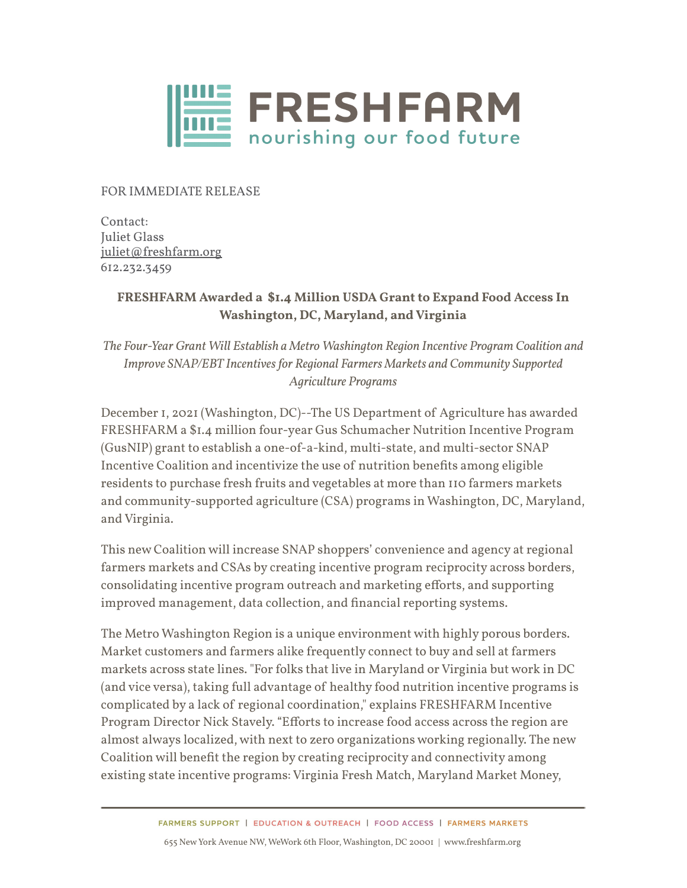

## FOR IMMEDIATE RELEASE

Contact: Juliet Glass [juliet@freshfarm.org](mailto:juliet@freshfarm.org) 612.232.3459

## **FRESHFARM Awarded a \$1.4 Million USDA Grant to Expand Food Access In Washington, DC, Maryland, andVirginia**

*The Four-Year Grant Will Establish a Metro Washington Region Incentive Program Coalition and Improve SNAP/EBT Incentivesfor Regional Farmers Markets and Community Supported Agriculture Programs*

December 1, 2021 (Washington, DC)--The US Department of Agriculture has awarded FRESHFARM a \$1.4 million four-year Gus Schumacher Nutrition Incentive Program (GusNIP) grant to establish a one-of-a-kind, multi-state, and multi-sector SNAP Incentive Coalition and incentivize the use of nutrition benefits among eligible residents to purchase fresh fruits and vegetables at more than 110 farmers markets and community-supported agriculture (CSA) programs in Washington, DC, Maryland, and Virginia.

This new Coalition will increase SNAP shoppers' convenience and agency at regional farmers markets and CSAs by creating incentive program reciprocity across borders, consolidating incentive program outreach and marketing efforts, and supporting improved management, data collection, and financial reporting systems.

The Metro Washington Region is a unique environment with highly porous borders. Market customers and farmers alike frequently connect to buy and sell at farmers markets across state lines. "For folks that live in Maryland or Virginia but work in DC (and vice versa), taking full advantage of healthy food nutrition incentive programs is complicated by a lack of regional coordination," explains FRESHFARM Incentive Program Director Nick Stavely. "Efforts to increase food access across the region are almost always localized, with next to zero organizations working regionally. The new Coalition will benefit the region by creating reciprocity and connectivity among existing state incentive programs: Virginia Fresh Match, Maryland Market Money,